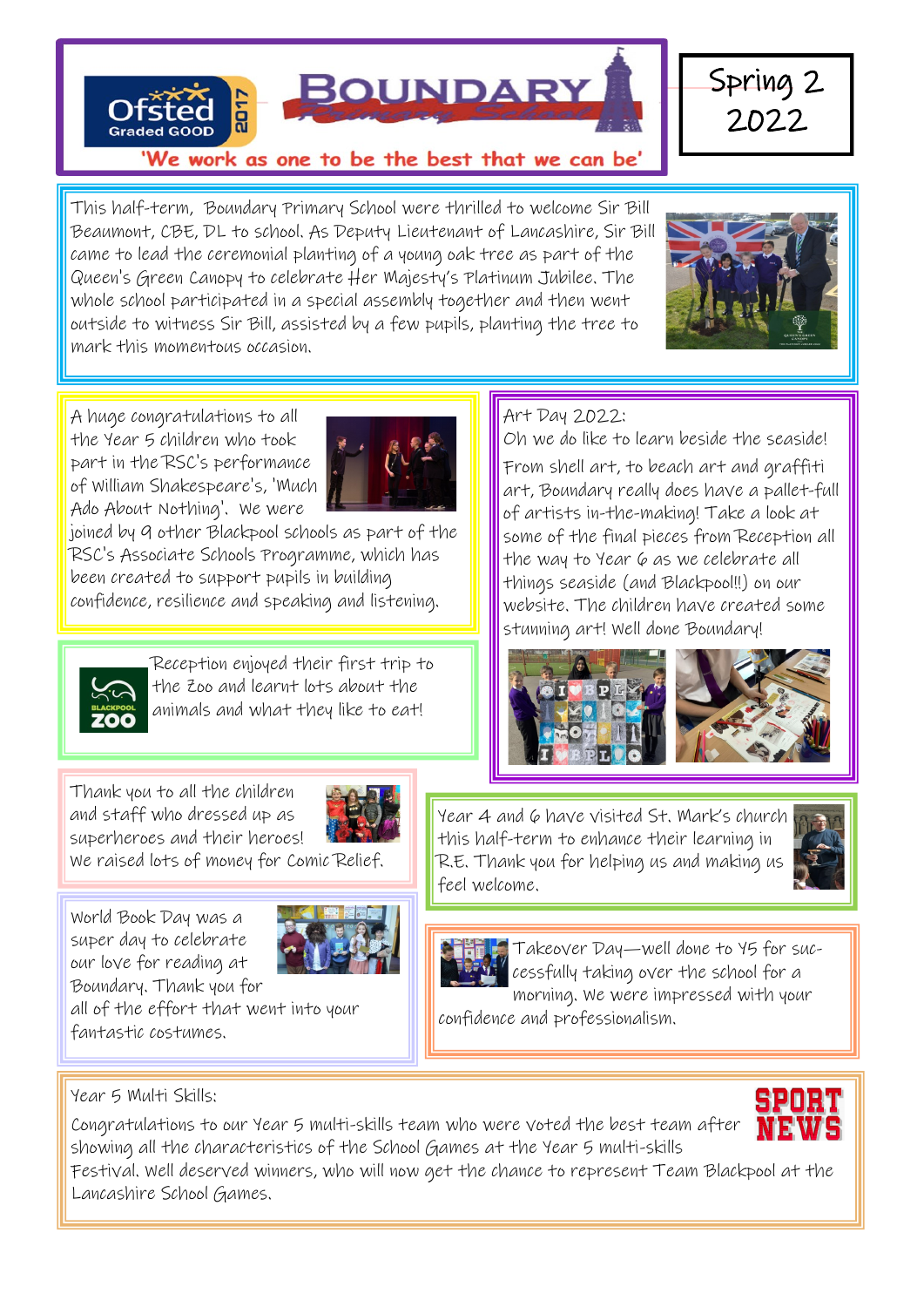

This half-term, Boundary Primary School were thrilled to welcome Sir Bill Beaumont, CBE, DL to school. As Deputy Lieutenant of Lancashire, Sir Bill came to lead the ceremonial planting of a young oak tree as part of the Queen's Green Canopy to celebrate Her Majesty's Platinum Jubilee. The whole school participated in a special assembly together and then went outside to witness Sir Bill, assisted by a few pupils, planting the tree to mark this momentous occasion.



A huge congratulations to all the Year 5 children who took part in the RSC's performance of William Shakespeare's, 'Much Ado About Nothing'. We were



joined by 9 other Blackpool schools as part of the RSC's Associate Schools Programme, which has been created to support pupils in building confidence, resilience and speaking and listening.



Reception enjoyed their first trip to the Zoo and learnt lots about the animals and what they like to eat!

Thank you to all the children and staff who dressed up as superheroes and their heroes!



We raised lots of money for Comic Relief.

World Book Day was a super day to celebrate our love for reading at Boundary. Thank you for



all of the effort that went into your fantastic costumes.

### Art Day 2022:

Oh we do like to learn beside the seaside! From shell art, to beach art and graffiti art, Boundary really does have a pallet-full of artists in-the-making! Take a look at some of the final pieces from Reception all the way to Year 6 as we celebrate all things seaside (and Blackpool!!) on our website. The children have created some stunning art! Well done Boundary!



Year 4 and 6 have visited St. Mark's church this half-term to enhance their learning in R.E. Thank you for helping us and making us feel welcome.





**Takeover Day—well done to 45 for suc**cessfully taking over the school for a morning. We were impressed with your

confidence and professionalism.

Year 5 Multi Skills:

Congratulations to our Year 5 multi-skills team who were voted the best team after showing all the characteristics of the School Games at the Year 5 multi-skills

Festival. Well deserved winners, who will now get the chance to represent Team Blackpool at the Lancashire School Games.